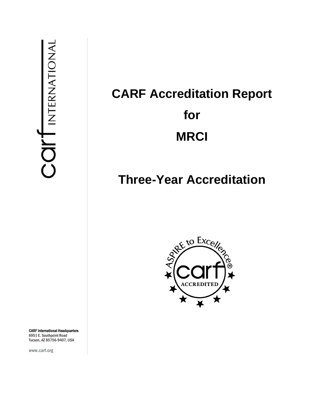# **CARF Accreditation Report for MRCI**

## **Three-Year Accreditation**



CARF International Headquarters 6951 E. Southpoint Road Tucson, AZ 85756-9407, USA

www.carf.org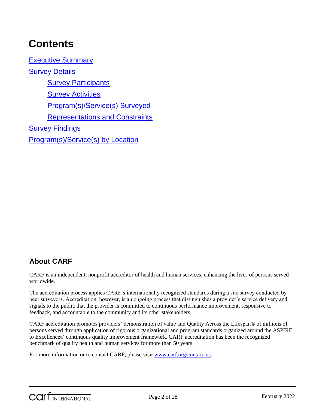## **Contents**

[Executive Summary](#page-3-0) [Survey Details](#page-4-0) **[Survey Participants](#page-4-1) [Survey Activities](#page-4-2)** [Program\(s\)/Service\(s\) Surveyed](#page-5-0) [Representations and Constraints](#page-5-1) **[Survey Findings](#page-5-2)** [Program\(s\)/Service\(s\) by Location](#page-27-0)

## **About CARF**

CARF is an independent, nonprofit accreditor of health and human services, enhancing the lives of persons served worldwide.

The accreditation process applies CARF's internationally recognized standards during a site survey conducted by peer surveyors. Accreditation, however, is an ongoing process that distinguishes a provider's service delivery and signals to the public that the provider is committed to continuous performance improvement, responsive to feedback, and accountable to the community and its other stakeholders.

CARF accreditation promotes providers' demonstration of value and Quality Across the Lifespan® of millions of persons served through application of rigorous organizational and program standards organized around the ASPIRE to Excellence® continuous quality improvement framework. CARF accreditation has been the recognized benchmark of quality health and human services for more than 50 years.

For more information or to contact CARF, please visit [www.carf.org/contact-us.](http://www.carf.org/contact-us)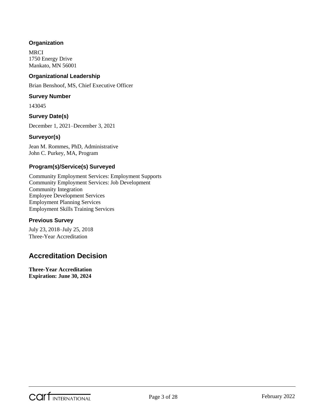#### **Organization**

**MRCI** 1750 Energy Drive Mankato, MN 56001

#### **Organizational Leadership**

Brian Benshoof, MS, Chief Executive Officer

#### **Survey Number**

143045

#### **Survey Date(s)**

December 1, 2021–December 3, 2021

#### **Surveyor(s)**

Jean M. Rommes, PhD, Administrative John C. Purkey, MA, Program

#### **Program(s)/Service(s) Surveyed**

Community Employment Services: Employment Supports Community Employment Services: Job Development Community Integration Employee Development Services Employment Planning Services Employment Skills Training Services

#### **Previous Survey**

July 23, 2018–July 25, 2018 Three-Year Accreditation

## **Accreditation Decision**

**Three-Year Accreditation Expiration: June 30, 2024**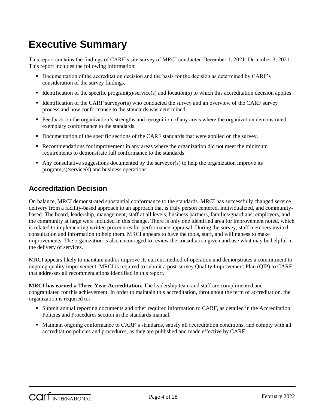## <span id="page-3-0"></span>**Executive Summary**

This report contains the findings of CARF's site survey of MRCI conducted December 1, 2021–December 3, 2021. This report includes the following information:

- Documentation of the accreditation decision and the basis for the decision as determined by CARF's consideration of the survey findings.
- Identification of the specific program(s)/service(s) and location(s) to which this accreditation decision applies.
- Identification of the CARF surveyor(s) who conducted the survey and an overview of the CARF survey process and how conformance to the standards was determined.
- Feedback on the organization's strengths and recognition of any areas where the organization demonstrated exemplary conformance to the standards.
- Documentation of the specific sections of the CARF standards that were applied on the survey.
- Recommendations for improvement in any areas where the organization did not meet the minimum requirements to demonstrate full conformance to the standards.
- Any consultative suggestions documented by the surveyor(s) to help the organization improve its program(s)/service(s) and business operations.

### **Accreditation Decision**

On balance, MRCI demonstrated substantial conformance to the standards. MRCI has successfully changed service delivery from a facility-based approach to an approach that is truly person centered, individualized, and communitybased. The board, leadership, management, staff at all levels, business partners, families/guardians, employers, and the community at large were included in this change. There is only one identified area for improvement noted, which is related to implementing written procedures for performance appraisal. During the survey, staff members invited consultation and information to help them. MRCI appears to have the tools, staff, and willingness to make improvements. The organization is also encouraged to review the consultation given and use what may be helpful in the delivery of services.

MRCI appears likely to maintain and/or improve its current method of operation and demonstrates a commitment to ongoing quality improvement. MRCI is required to submit a post-survey Quality Improvement Plan (QIP) to CARF that addresses all recommendations identified in this report.

**MRCI has earned a Three-Year Accreditation.** The leadership team and staff are complimented and congratulated for this achievement. In order to maintain this accreditation, throughout the term of accreditation, the organization is required to:

- Submit annual reporting documents and other required information to CARF, as detailed in the Accreditation Policies and Procedures section in the standards manual.
- Maintain ongoing conformance to CARF's standards, satisfy all accreditation conditions, and comply with all accreditation policies and procedures, as they are published and made effective by CARF.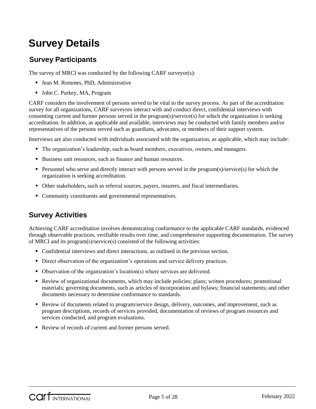## <span id="page-4-0"></span>**Survey Details**

## <span id="page-4-1"></span>**Survey Participants**

The survey of MRCI was conducted by the following CARF surveyor(s):

- Jean M. Rommes, PhD, Administrative
- John C. Purkey, MA, Program

CARF considers the involvement of persons served to be vital to the survey process. As part of the accreditation survey for all organizations, CARF surveyors interact with and conduct direct, confidential interviews with consenting current and former persons served in the program(s)/service(s) for which the organization is seeking accreditation. In addition, as applicable and available, interviews may be conducted with family members and/or representatives of the persons served such as guardians, advocates, or members of their support system.

Interviews are also conducted with individuals associated with the organization, as applicable, which may include:

- The organization's leadership, such as board members, executives, owners, and managers.
- Business unit resources, such as finance and human resources.
- **Personnel who serve and directly interact with persons served in the program(s)/service(s) for which the** organization is seeking accreditation.
- Other stakeholders, such as referral sources, payers, insurers, and fiscal intermediaries.
- Community constituents and governmental representatives.

## <span id="page-4-2"></span>**Survey Activities**

Achieving CARF accreditation involves demonstrating conformance to the applicable CARF standards, evidenced through observable practices, verifiable results over time, and comprehensive supporting documentation. The survey of MRCI and its program(s)/service(s) consisted of the following activities:

- Confidential interviews and direct interactions, as outlined in the previous section.
- Direct observation of the organization's operations and service delivery practices.
- Observation of the organization's location(s) where services are delivered.
- Review of organizational documents, which may include policies; plans; written procedures; promotional materials; governing documents, such as articles of incorporation and bylaws; financial statements; and other documents necessary to determine conformance to standards.
- Review of documents related to program/service design, delivery, outcomes, and improvement, such as program descriptions, records of services provided, documentation of reviews of program resources and services conducted, and program evaluations.
- Review of records of current and former persons served.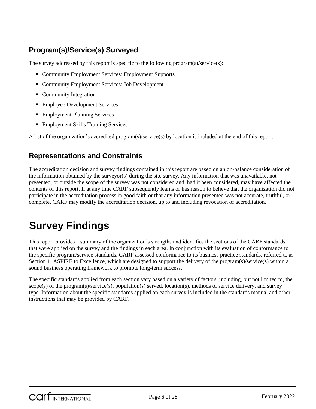## <span id="page-5-0"></span>**Program(s)/Service(s) Surveyed**

The survey addressed by this report is specific to the following program(s)/service(s):

- Community Employment Services: Employment Supports
- Community Employment Services: Job Development
- Community Integration
- **Employee Development Services**
- **Employment Planning Services**
- **Employment Skills Training Services**

A list of the organization's accredited program(s)/service(s) by location is included at the end of this report.

### <span id="page-5-1"></span>**Representations and Constraints**

The accreditation decision and survey findings contained in this report are based on an on-balance consideration of the information obtained by the surveyor(s) during the site survey. Any information that was unavailable, not presented, or outside the scope of the survey was not considered and, had it been considered, may have affected the contents of this report. If at any time CARF subsequently learns or has reason to believe that the organization did not participate in the accreditation process in good faith or that any information presented was not accurate, truthful, or complete, CARF may modify the accreditation decision, up to and including revocation of accreditation.

## <span id="page-5-2"></span>**Survey Findings**

This report provides a summary of the organization's strengths and identifies the sections of the CARF standards that were applied on the survey and the findings in each area. In conjunction with its evaluation of conformance to the specific program/service standards, CARF assessed conformance to its business practice standards, referred to as Section 1. ASPIRE to Excellence, which are designed to support the delivery of the program(s)/service(s) within a sound business operating framework to promote long-term success.

The specific standards applied from each section vary based on a variety of factors, including, but not limited to, the scope(s) of the program(s)/service(s), population(s) served, location(s), methods of service delivery, and survey type. Information about the specific standards applied on each survey is included in the standards manual and other instructions that may be provided by CARF.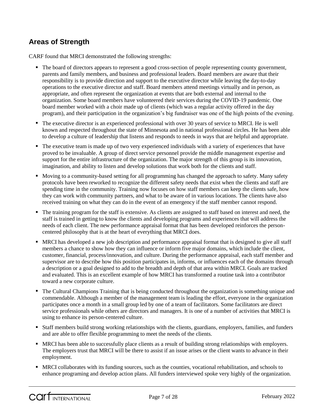## **Areas of Strength**

CARF found that MRCI demonstrated the following strengths:

- The board of directors appears to represent a good cross-section of people representing county government, parents and family members, and business and professional leaders. Board members are aware that their responsibility is to provide direction and support to the executive director while leaving the day-to-day operations to the executive director and staff. Board members attend meetings virtually and in person, as appropriate, and often represent the organization at events that are both external and internal to the organization. Some board members have volunteered their services during the COVID-19 pandemic. One board member worked with a choir made up of clients (which was a regular activity offered in the day program), and their participation in the organization's big fundraiser was one of the high points of the evening.
- The executive director is an experienced professional with over 30 years of service to MRCI. He is well known and respected throughout the state of Minnesota and in national professional circles. He has been able to develop a culture of leadership that listens and responds to needs in ways that are helpful and appropriate.
- The executive team is made up of two very experienced individuals with a variety of experiences that have proved to be invaluable. A group of direct service personnel provide the middle management expertise and support for the entire infrastructure of the organization. The major strength of this group is its innovation, imagination, and ability to listen and develop solutions that work both for the clients and staff.
- Moving to a community-based setting for all programming has changed the approach to safety. Many safety protocols have been reworked to recognize the different safety needs that exist when the clients and staff are spending time in the community. Training now focuses on how staff members can keep the clients safe, how they can work with community partners, and what to be aware of in various locations. The clients have also received training on what they can do in the event of an emergency if the staff member cannot respond.
- The training program for the staff is extensive. As clients are assigned to staff based on interest and need, the staff is trained in getting to know the clients and developing programs and experiences that will address the needs of each client. The new performance appraisal format that has been developed reinforces the personcentered philosophy that is at the heart of everything that MRCI does.
- MRCI has developed a new job description and performance appraisal format that is designed to give all staff members a chance to show how they can influence or inform five major domains, which include the client, customer, financial, process/innovation, and culture. During the performance appraisal, each staff member and supervisor are to describe how this position participates in, informs, or influences each of the domains through a description or a goal designed to add to the breadth and depth of that area within MRCI. Goals are tracked and evaluated. This is an excellent example of how MRCI has transformed a routine task into a contributor toward a new corporate culture.
- The Cultural Champions Training that is being conducted throughout the organization is something unique and commendable. Although a member of the management team is leading the effort, everyone in the organization participates once a month in a small group led by one of a team of facilitators. Some facilitators are direct service professionals while others are directors and managers. It is one of a number of activities that MRCI is using to enhance its person-centered culture.
- Staff members build strong working relationships with the clients, guardians, employers, families, and funders and are able to offer flexible programming to meet the needs of the clients.
- MRCI has been able to successfully place clients as a result of building strong relationships with employers. The employers trust that MRCI will be there to assist if an issue arises or the client wants to advance in their employment.
- MRCI collaborates with its funding sources, such as the counties, vocational rehabilitation, and schools to enhance programing and develop action plans. All funders interviewed spoke very highly of the organization.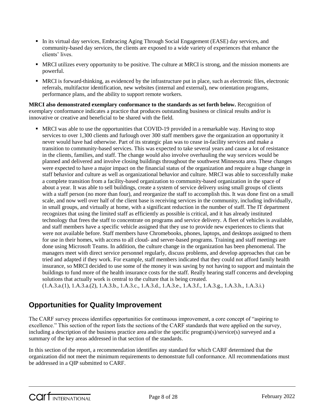- In its virtual day services, Embracing Aging Through Social Engagement (EASE) day services, and community-based day services, the clients are exposed to a wide variety of experiences that enhance the clients' lives.
- MRCI utilizes every opportunity to be positive. The culture at MRCI is strong, and the mission moments are powerful.
- MRCI is forward-thinking, as evidenced by the infrastructure put in place, such as electronic files, electronic referrals, multifactor identification, new websites (internal and external), new orientation programs, performance plans, and the ability to support remote workers.

**MRCI also demonstrated exemplary conformance to the standards as set forth below.** Recognition of exemplary conformance indicates a practice that produces outstanding business or clinical results and/or is innovative or creative and beneficial to be shared with the field.

 MRCI was able to use the opportunities that COVID-19 provided in a remarkable way. Having to stop services to over 1,300 clients and furlough over 300 staff members gave the organization an opportunity it never would have had otherwise. Part of its strategic plan was to cease in-facility services and make a transition to community-based services. This was expected to take several years and cause a lot of resistance in the clients, families, and staff. The change would also involve overhauling the way services would be planned and delivered and involve closing buildings throughout the southwest Minnesota area. These changes were expected to have a major impact on the financial status of the organization and require a huge change in staff behavior and culture as well as organizational behavior and culture. MRCI was able to successfully make a complete transition from a facility-based organization to community-based organization in the space of about a year. It was able to sell buildings, create a system of service delivery using small groups of clients with a staff person (no more than four), and reorganize the staff to accomplish this. It was done first on a small scale, and now well over half of the client base is receiving services in the community, including individually, in small groups, and virtually at home, with a significant reduction in the number of staff. The IT department recognizes that using the limited staff as efficiently as possible is critical, and it has already instituted technology that frees the staff to concentrate on programs and service delivery. A fleet of vehicles is available, and staff members have a specific vehicle assigned that they use to provide new experiences to clients that were not available before. Staff members have Chromebooks, phones, laptops, and desktops assigned to them for use in their homes, with access to all cloud- and server-based programs. Training and staff meetings are done using Microsoft Teams. In addition, the culture change in the organization has been phenomenal. The managers meet with direct service personnel regularly, discuss problems, and develop approaches that can be tried and adapted if they work. For example, staff members indicated that they could not afford family health insurance, so MRCI decided to use some of the money it was saving by not having to support and maintain the buildings to fund more of the health insurance costs for the staff. Really hearing staff concerns and developing solutions that actually work is central to the culture that is being created.

(1.A.3.a.(1), 1.A.3.a.(2), 1.A.3.b., 1.A.3.c., 1.A.3.d., 1.A.3.e., 1.A.3.f., 1.A.3.g., 1.A.3.h., 1.A.3.i.)

### **Opportunities for Quality Improvement**

The CARF survey process identifies opportunities for continuous improvement, a core concept of "aspiring to excellence." This section of the report lists the sections of the CARF standards that were applied on the survey, including a description of the business practice area and/or the specific program(s)/service(s) surveyed and a summary of the key areas addressed in that section of the standards.

In this section of the report, a recommendation identifies any standard for which CARF determined that the organization did not meet the minimum requirements to demonstrate full conformance. All recommendations must be addressed in a QIP submitted to CARF.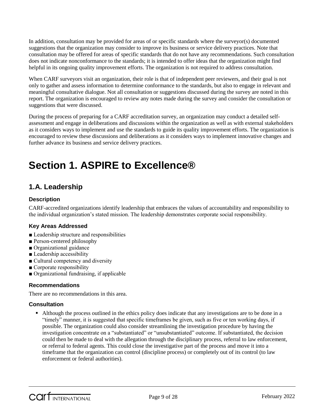In addition, consultation may be provided for areas of or specific standards where the surveyor(s) documented suggestions that the organization may consider to improve its business or service delivery practices. Note that consultation may be offered for areas of specific standards that do not have any recommendations. Such consultation does not indicate nonconformance to the standards; it is intended to offer ideas that the organization might find helpful in its ongoing quality improvement efforts. The organization is not required to address consultation.

When CARF surveyors visit an organization, their role is that of independent peer reviewers, and their goal is not only to gather and assess information to determine conformance to the standards, but also to engage in relevant and meaningful consultative dialogue. Not all consultation or suggestions discussed during the survey are noted in this report. The organization is encouraged to review any notes made during the survey and consider the consultation or suggestions that were discussed.

During the process of preparing for a CARF accreditation survey, an organization may conduct a detailed selfassessment and engage in deliberations and discussions within the organization as well as with external stakeholders as it considers ways to implement and use the standards to guide its quality improvement efforts. The organization is encouraged to review these discussions and deliberations as it considers ways to implement innovative changes and further advance its business and service delivery practices.

## **Section 1. ASPIRE to Excellence®**

## **1.A. Leadership**

#### **Description**

CARF-accredited organizations identify leadership that embraces the values of accountability and responsibility to the individual organization's stated mission. The leadership demonstrates corporate social responsibility.

#### **Key Areas Addressed**

- Leadership structure and responsibilities
- Person-centered philosophy
- Organizational guidance
- Leadership accessibility
- Cultural competency and diversity
- Corporate responsibility
- Organizational fundraising, if applicable

#### **Recommendations**

There are no recommendations in this area.

#### **Consultation**

 Although the process outlined in the ethics policy does indicate that any investigations are to be done in a "timely" manner, it is suggested that specific timeframes be given, such as five or ten working days, if possible. The organization could also consider streamlining the investigation procedure by having the investigation concentrate on a "substantiated" or "unsubstantiated" outcome. If substantiated, the decision could then be made to deal with the allegation through the disciplinary process, referral to law enforcement, or referral to federal agents. This could close the investigative part of the process and move it into a timeframe that the organization can control (discipline process) or completely out of its control (to law enforcement or federal authorities).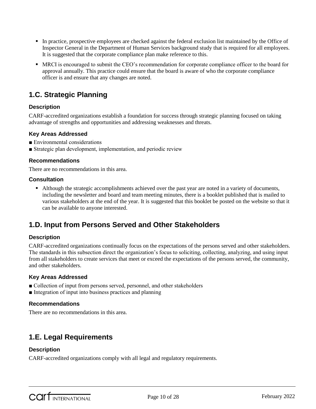- In practice, prospective employees are checked against the federal exclusion list maintained by the Office of Inspector General in the Department of Human Services background study that is required for all employees. It is suggested that the corporate compliance plan make reference to this.
- MRCI is encouraged to submit the CEO's recommendation for corporate compliance officer to the board for approval annually. This practice could ensure that the board is aware of who the corporate compliance officer is and ensure that any changes are noted.

## **1.C. Strategic Planning**

#### **Description**

CARF-accredited organizations establish a foundation for success through strategic planning focused on taking advantage of strengths and opportunities and addressing weaknesses and threats.

#### **Key Areas Addressed**

- Environmental considerations
- Strategic plan development, implementation, and periodic review

#### **Recommendations**

There are no recommendations in this area.

#### **Consultation**

 Although the strategic accomplishments achieved over the past year are noted in a variety of documents, including the newsletter and board and team meeting minutes, there is a booklet published that is mailed to various stakeholders at the end of the year. It is suggested that this booklet be posted on the website so that it can be available to anyone interested.

## **1.D. Input from Persons Served and Other Stakeholders**

#### **Description**

CARF-accredited organizations continually focus on the expectations of the persons served and other stakeholders. The standards in this subsection direct the organization's focus to soliciting, collecting, analyzing, and using input from all stakeholders to create services that meet or exceed the expectations of the persons served, the community, and other stakeholders.

#### **Key Areas Addressed**

- Collection of input from persons served, personnel, and other stakeholders
- Integration of input into business practices and planning

#### **Recommendations**

There are no recommendations in this area.

## **1.E. Legal Requirements**

#### **Description**

CARF-accredited organizations comply with all legal and regulatory requirements.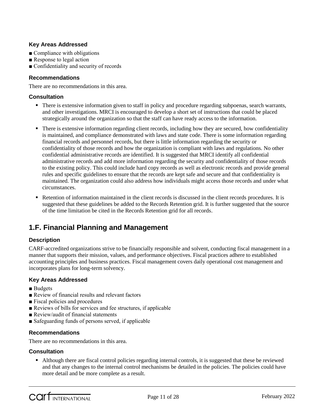#### **Key Areas Addressed**

- Compliance with obligations
- Response to legal action
- Confidentiality and security of records

#### **Recommendations**

There are no recommendations in this area.

#### **Consultation**

- There is extensive information given to staff in policy and procedure regarding subpoenas, search warrants, and other investigations. MRCI is encouraged to develop a short set of instructions that could be placed strategically around the organization so that the staff can have ready access to the information.
- There is extensive information regarding client records, including how they are secured, how confidentiality is maintained, and compliance demonstrated with laws and state code. There is some information regarding financial records and personnel records, but there is little information regarding the security or confidentiality of those records and how the organization is compliant with laws and regulations. No other confidential administrative records are identified. It is suggested that MRCI identify all confidential administrative records and add more information regarding the security and confidentiality of those records to the existing policy. This could include hard copy records as well as electronic records and provide general rules and specific guidelines to ensure that the records are kept safe and secure and that confidentiality is maintained. The organization could also address how individuals might access those records and under what circumstances.
- Retention of information maintained in the client records is discussed in the client records procedures. It is suggested that these guidelines be added to the Records Retention grid. It is further suggested that the source of the time limitation be cited in the Records Retention grid for all records.

## **1.F. Financial Planning and Management**

#### **Description**

CARF-accredited organizations strive to be financially responsible and solvent, conducting fiscal management in a manner that supports their mission, values, and performance objectives. Fiscal practices adhere to established accounting principles and business practices. Fiscal management covers daily operational cost management and incorporates plans for long-term solvency.

#### **Key Areas Addressed**

- Budgets
- Review of financial results and relevant factors
- Fiscal policies and procedures
- Reviews of bills for services and fee structures, if applicable
- Review/audit of financial statements
- Safeguarding funds of persons served, if applicable

#### **Recommendations**

There are no recommendations in this area.

#### **Consultation**

 Although there are fiscal control policies regarding internal controls, it is suggested that these be reviewed and that any changes to the internal control mechanisms be detailed in the policies. The policies could have more detail and be more complete as a result.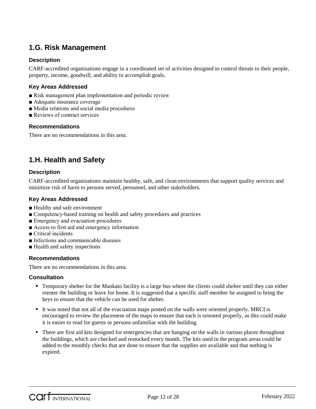## **1.G. Risk Management**

#### **Description**

CARF-accredited organizations engage in a coordinated set of activities designed to control threats to their people, property, income, goodwill, and ability to accomplish goals.

#### **Key Areas Addressed**

- Risk management plan implementation and periodic review
- Adequate insurance coverage
- Media relations and social media procedures
- Reviews of contract services

#### **Recommendations**

There are no recommendations in this area.

### **1.H. Health and Safety**

#### **Description**

CARF-accredited organizations maintain healthy, safe, and clean environments that support quality services and minimize risk of harm to persons served, personnel, and other stakeholders.

#### **Key Areas Addressed**

- Healthy and safe environment
- Competency-based training on health and safety procedures and practices
- Emergency and evacuation procedures
- Access to first aid and emergency information
- Critical incidents
- Infections and communicable diseases
- Health and safety inspections

#### **Recommendations**

There are no recommendations in this area.

#### **Consultation**

- Temporary shelter for the Mankato facility is a large bus where the clients could shelter until they can either reenter the building or leave for home. It is suggested that a specific staff member be assigned to bring the keys to ensure that the vehicle can be used for shelter.
- It was noted that not all of the evacuation maps posted on the walls were oriented properly. MRCI is encouraged to review the placement of the maps to ensure that each is oriented properly, as this could make it is easier to read for guests or persons unfamiliar with the building.
- There are first aid kits designed for emergencies that are hanging on the walls in various places throughout the buildings, which are checked and restocked every month. The kits used in the program areas could be added to the monthly checks that are done to ensure that the supplies are available and that nothing is expired.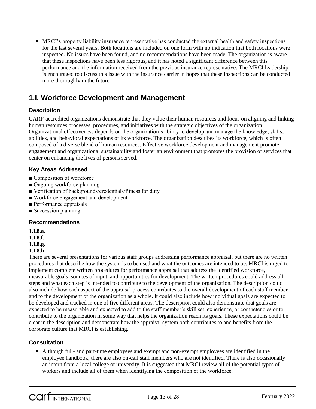MRCI's property liability insurance representative has conducted the external health and safety inspections for the last several years. Both locations are included on one form with no indication that both locations were inspected. No issues have been found, and no recommendations have been made. The organization is aware that these inspections have been less rigorous, and it has noted a significant difference between this performance and the information received from the previous insurance representative. The MRCI leadership is encouraged to discuss this issue with the insurance carrier in hopes that these inspections can be conducted more thoroughly in the future.

## **1.I. Workforce Development and Management**

#### **Description**

CARF-accredited organizations demonstrate that they value their human resources and focus on aligning and linking human resources processes, procedures, and initiatives with the strategic objectives of the organization. Organizational effectiveness depends on the organization's ability to develop and manage the knowledge, skills, abilities, and behavioral expectations of its workforce. The organization describes its workforce, which is often composed of a diverse blend of human resources. Effective workforce development and management promote engagement and organizational sustainability and foster an environment that promotes the provision of services that center on enhancing the lives of persons served.

#### **Key Areas Addressed**

- Composition of workforce
- Ongoing workforce planning
- Verification of backgrounds/credentials/fitness for duty
- Workforce engagement and development
- Performance appraisals
- Succession planning

#### **Recommendations**

**1.I.8.a.**

**1.I.8.f.**

**1.I.8.g.**

#### **1.I.8.h.**

There are several presentations for various staff groups addressing performance appraisal, but there are no written procedures that describe how the system is to be used and what the outcomes are intended to be. MRCI is urged to implement complete written procedures for performance appraisal that address the identified workforce, measurable goals, sources of input, and opportunities for development. The written procedures could address all steps and what each step is intended to contribute to the development of the organization. The description could also include how each aspect of the appraisal process contributes to the overall development of each staff member and to the development of the organization as a whole. It could also include how individual goals are expected to be developed and tracked in one of five different areas. The description could also demonstrate that goals are expected to be measurable and expected to add to the staff member's skill set, experience, or competencies or to contribute to the organization in some way that helps the organization reach its goals. These expectations could be clear in the description and demonstrate how the appraisal system both contributes to and benefits from the corporate culture that MRCI is establishing.

#### **Consultation**

 Although full- and part-time employees and exempt and non-exempt employees are identified in the employee handbook, there are also on-call staff members who are not identified. There is also occasionally an intern from a local college or university. It is suggested that MRCI review all of the potential types of workers and include all of them when identifying the composition of the workforce.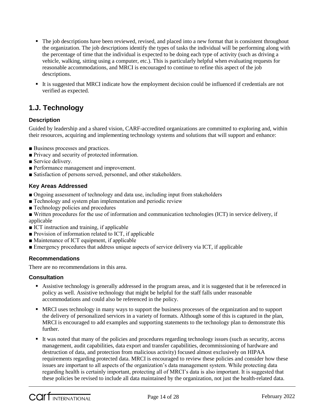- The job descriptions have been reviewed, revised, and placed into a new format that is consistent throughout the organization. The job descriptions identify the types of tasks the individual will be performing along with the percentage of time that the individual is expected to be doing each type of activity (such as driving a vehicle, walking, sitting using a computer, etc.). This is particularly helpful when evaluating requests for reasonable accommodations, and MRCI is encouraged to continue to refine this aspect of the job descriptions.
- It is suggested that MRCI indicate how the employment decision could be influenced if credentials are not verified as expected.

## **1.J. Technology**

#### **Description**

Guided by leadership and a shared vision, CARF-accredited organizations are committed to exploring and, within their resources, acquiring and implementing technology systems and solutions that will support and enhance:

- Business processes and practices.
- Privacy and security of protected information.
- Service delivery.
- Performance management and improvement.
- Satisfaction of persons served, personnel, and other stakeholders.

#### **Key Areas Addressed**

- Ongoing assessment of technology and data use, including input from stakeholders
- Technology and system plan implementation and periodic review
- Technology policies and procedures
- Written procedures for the use of information and communication technologies (ICT) in service delivery, if applicable
- ICT instruction and training, if applicable
- Provision of information related to ICT, if applicable
- Maintenance of ICT equipment, if applicable
- Emergency procedures that address unique aspects of service delivery via ICT, if applicable

#### **Recommendations**

There are no recommendations in this area.

#### **Consultation**

- Assistive technology is generally addressed in the program areas, and it is suggested that it be referenced in policy as well. Assistive technology that might be helpful for the staff falls under reasonable accommodations and could also be referenced in the policy.
- MRCI uses technology in many ways to support the business processes of the organization and to support the delivery of personalized services in a variety of formats. Although some of this is captured in the plan, MRCI is encouraged to add examples and supporting statements to the technology plan to demonstrate this further.
- It was noted that many of the policies and procedures regarding technology issues (such as security, access management, audit capabilities, data export and transfer capabilities, decommissioning of hardware and destruction of data, and protection from malicious activity) focused almost exclusively on HIPAA requirements regarding protected data. MRCI is encouraged to review these policies and consider how these issues are important to all aspects of the organization's data management system. While protecting data regarding health is certainly important, protecting all of MRCI's data is also important. It is suggested that these policies be revised to include all data maintained by the organization, not just the health-related data.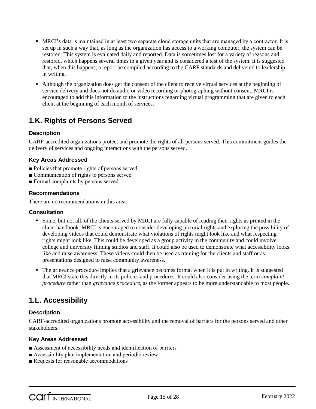- MRCI's data is maintained in at least two separate cloud storage units that are managed by a contractor. It is set up in such a way that, as long as the organization has access to a working computer, the system can be restored. This system is evaluated daily and reported. Data is sometimes lost for a variety of reasons and restored, which happens several times in a given year and is considered a test of the system. It is suggested that, when this happens, a report be compiled according to the CARF standards and delivered to leadership in writing.
- Although the organization does get the consent of the client to receive virtual services at the beginning of service delivery and does not do audio or video recording or photographing without consent, MRCI is encouraged to add this information to the instructions regarding virtual programming that are given to each client at the beginning of each month of services.

## **1.K. Rights of Persons Served**

#### **Description**

CARF-accredited organizations protect and promote the rights of all persons served. This commitment guides the delivery of services and ongoing interactions with the persons served.

#### **Key Areas Addressed**

- Policies that promote rights of persons served
- Communication of rights to persons served
- Formal complaints by persons served

#### **Recommendations**

There are no recommendations in this area.

#### **Consultation**

- Some, but not all, of the clients served by MRCI are fully capable of reading their rights as printed in the client handbook. MRCI is encouraged to consider developing pictorial rights and exploring the possibility of developing videos that could demonstrate what violations of rights might look like and what respecting rights might look like. This could be developed as a group activity in the community and could involve college and university filming studios and staff. It could also be used to demonstrate what accessibility looks like and raise awareness. These videos could then be used as training for the clients and staff or as presentations designed to raise community awareness.
- The grievance procedure implies that a grievance becomes formal when it is put in writing. It is suggested that MRCI state this directly in its policies and procedures. It could also consider using the term *complaint procedure* rather than *grievance procedure*, as the former appears to be more understandable to most people.

## **1.L. Accessibility**

#### **Description**

CARF-accredited organizations promote accessibility and the removal of barriers for the persons served and other stakeholders.

#### **Key Areas Addressed**

- Assessment of accessibility needs and identification of barriers
- Accessibility plan implementation and periodic review
- Requests for reasonable accommodations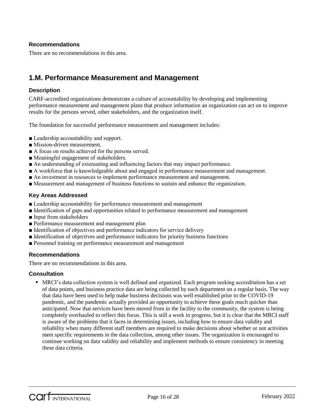#### **Recommendations**

There are no recommendations in this area.

## **1.M. Performance Measurement and Management**

#### **Description**

CARF-accredited organizations demonstrate a culture of accountability by developing and implementing performance measurement and management plans that produce information an organization can act on to improve results for the persons served, other stakeholders, and the organization itself.

The foundation for successful performance measurement and management includes:

- Leadership accountability and support.
- Mission-driven measurement.
- A focus on results achieved for the persons served.
- Meaningful engagement of stakeholders.
- An understanding of extenuating and influencing factors that may impact performance.
- A workforce that is knowledgeable about and engaged in performance measurement and management.
- An investment in resources to implement performance measurement and management.
- Measurement and management of business functions to sustain and enhance the organization.

#### **Key Areas Addressed**

- Leadership accountability for performance measurement and management
- Identification of gaps and opportunities related to performance measurement and management
- Input from stakeholders
- Performance measurement and management plan
- Identification of objectives and performance indicators for service delivery
- Identification of objectives and performance indicators for priority business functions
- Personnel training on performance measurement and management

#### **Recommendations**

There are no recommendations in this area.

#### **Consultation**

 MRCI's data collection system is well defined and organized. Each program seeking accreditation has a set of data points, and business practice data are being collected by each department on a regular basis. The way that data have been used to help make business decisions was well established prior to the COVID-19 pandemic, and the pandemic actually provided an opportunity to achieve these goals much quicker than anticipated. Now that services have been moved from in the facility to the community, the system is being completely overhauled to reflect this focus. This is still a work in progress, but it is clear that the MRCI staff is aware of the problems that it faces in determining issues, including how to ensure data validity and reliability when many different staff members are required to make decisions about whether or not activities meet specific requirements in the data collection, among other issues. The organization is encouraged to continue working on data validity and reliability and implement methods to ensure consistency in meeting these data criteria.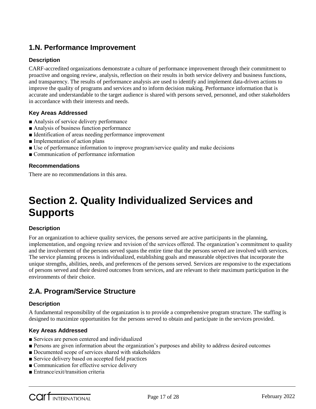## **1.N. Performance Improvement**

#### **Description**

CARF-accredited organizations demonstrate a culture of performance improvement through their commitment to proactive and ongoing review, analysis, reflection on their results in both service delivery and business functions, and transparency. The results of performance analysis are used to identify and implement data-driven actions to improve the quality of programs and services and to inform decision making. Performance information that is accurate and understandable to the target audience is shared with persons served, personnel, and other stakeholders in accordance with their interests and needs.

#### **Key Areas Addressed**

- Analysis of service delivery performance
- Analysis of business function performance
- Identification of areas needing performance improvement
- Implementation of action plans
- Use of performance information to improve program/service quality and make decisions
- Communication of performance information

#### **Recommendations**

There are no recommendations in this area.

## **Section 2. Quality Individualized Services and Supports**

#### **Description**

For an organization to achieve quality services, the persons served are active participants in the planning, implementation, and ongoing review and revision of the services offered. The organization's commitment to quality and the involvement of the persons served spans the entire time that the persons served are involved with services. The service planning process is individualized, establishing goals and measurable objectives that incorporate the unique strengths, abilities, needs, and preferences of the persons served. Services are responsive to the expectations of persons served and their desired outcomes from services, and are relevant to their maximum participation in the environments of their choice.

### **2.A. Program/Service Structure**

#### **Description**

A fundamental responsibility of the organization is to provide a comprehensive program structure. The staffing is designed to maximize opportunities for the persons served to obtain and participate in the services provided.

#### **Key Areas Addressed**

- Services are person centered and individualized
- Persons are given information about the organization's purposes and ability to address desired outcomes
- Documented scope of services shared with stakeholders
- Service delivery based on accepted field practices
- Communication for effective service delivery
- Entrance/exit/transition criteria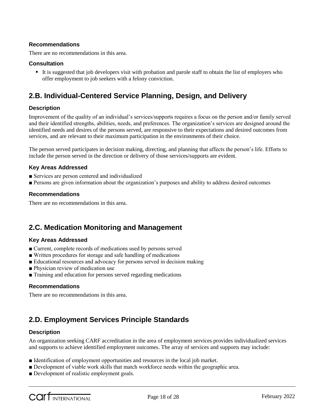#### **Recommendations**

There are no recommendations in this area.

#### **Consultation**

 It is suggested that job developers visit with probation and parole staff to obtain the list of employers who offer employment to job seekers with a felony conviction.

## **2.B. Individual-Centered Service Planning, Design, and Delivery**

#### **Description**

Improvement of the quality of an individual's services/supports requires a focus on the person and/or family served and their identified strengths, abilities, needs, and preferences. The organization's services are designed around the identified needs and desires of the persons served, are responsive to their expectations and desired outcomes from services, and are relevant to their maximum participation in the environments of their choice.

The person served participates in decision making, directing, and planning that affects the person's life. Efforts to include the person served in the direction or delivery of those services/supports are evident.

#### **Key Areas Addressed**

- Services are person centered and individualized
- Persons are given information about the organization's purposes and ability to address desired outcomes

#### **Recommendations**

There are no recommendations in this area.

### **2.C. Medication Monitoring and Management**

#### **Key Areas Addressed**

- Current, complete records of medications used by persons served
- Written procedures for storage and safe handling of medications
- Educational resources and advocacy for persons served in decision making
- Physician review of medication use
- Training and education for persons served regarding medications

#### **Recommendations**

There are no recommendations in this area.

### **2.D. Employment Services Principle Standards**

#### **Description**

An organization seeking CARF accreditation in the area of employment services provides individualized services and supports to achieve identified employment outcomes. The array of services and supports may include:

- Identification of employment opportunities and resources in the local job market.
- Development of viable work skills that match workforce needs within the geographic area.
- Development of realistic employment goals.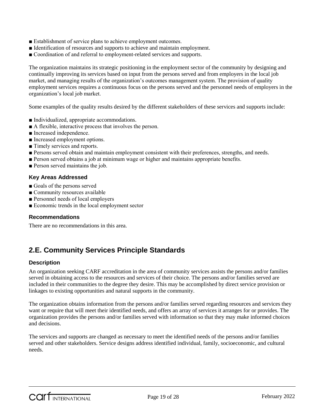- Establishment of service plans to achieve employment outcomes.
- Identification of resources and supports to achieve and maintain employment.
- Coordination of and referral to employment-related services and supports.

The organization maintains its strategic positioning in the employment sector of the community by designing and continually improving its services based on input from the persons served and from employers in the local job market, and managing results of the organization's outcomes management system. The provision of quality employment services requires a continuous focus on the persons served and the personnel needs of employers in the organization's local job market.

Some examples of the quality results desired by the different stakeholders of these services and supports include:

- Individualized, appropriate accommodations.
- A flexible, interactive process that involves the person.
- Increased independence.
- Increased employment options.
- Timely services and reports.
- Persons served obtain and maintain employment consistent with their preferences, strengths, and needs.
- Person served obtains a job at minimum wage or higher and maintains appropriate benefits.
- Person served maintains the job.

#### **Key Areas Addressed**

- Goals of the persons served
- Community resources available
- Personnel needs of local employers
- Economic trends in the local employment sector

#### **Recommendations**

There are no recommendations in this area.

## **2.E. Community Services Principle Standards**

#### **Description**

An organization seeking CARF accreditation in the area of community services assists the persons and/or families served in obtaining access to the resources and services of their choice. The persons and/or families served are included in their communities to the degree they desire. This may be accomplished by direct service provision or linkages to existing opportunities and natural supports in the community.

The organization obtains information from the persons and/or families served regarding resources and services they want or require that will meet their identified needs, and offers an array of services it arranges for or provides. The organization provides the persons and/or families served with information so that they may make informed choices and decisions.

The services and supports are changed as necessary to meet the identified needs of the persons and/or families served and other stakeholders. Service designs address identified individual, family, socioeconomic, and cultural needs.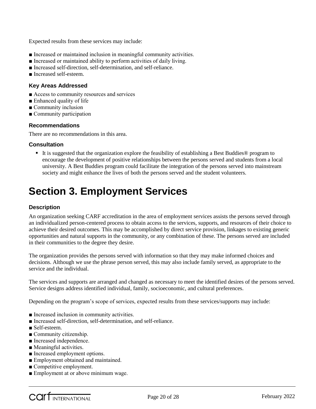Expected results from these services may include:

- Increased or maintained inclusion in meaningful community activities.
- Increased or maintained ability to perform activities of daily living.
- Increased self-direction, self-determination, and self-reliance.
- Increased self-esteem.

#### **Key Areas Addressed**

- Access to community resources and services
- Enhanced quality of life
- Community inclusion
- Community participation

#### **Recommendations**

There are no recommendations in this area.

#### **Consultation**

■ It is suggested that the organization explore the feasibility of establishing a Best Buddies<sup>®</sup> program to encourage the development of positive relationships between the persons served and students from a local university. A Best Buddies program could facilitate the integration of the persons served into mainstream society and might enhance the lives of both the persons served and the student volunteers.

## **Section 3. Employment Services**

#### **Description**

An organization seeking CARF accreditation in the area of employment services assists the persons served through an individualized person-centered process to obtain access to the services, supports, and resources of their choice to achieve their desired outcomes. This may be accomplished by direct service provision, linkages to existing generic opportunities and natural supports in the community, or any combination of these. The persons served are included in their communities to the degree they desire.

The organization provides the persons served with information so that they may make informed choices and decisions. Although we use the phrase person served, this may also include family served, as appropriate to the service and the individual.

The services and supports are arranged and changed as necessary to meet the identified desires of the persons served. Service designs address identified individual, family, socioeconomic, and cultural preferences.

Depending on the program's scope of services, expected results from these services/supports may include:

- Increased inclusion in community activities.
- Increased self-direction, self-determination, and self-reliance.
- Self-esteem.
- Community citizenship.
- Increased independence.
- Meaningful activities.
- Increased employment options.
- Employment obtained and maintained.
- Competitive employment.
- Employment at or above minimum wage.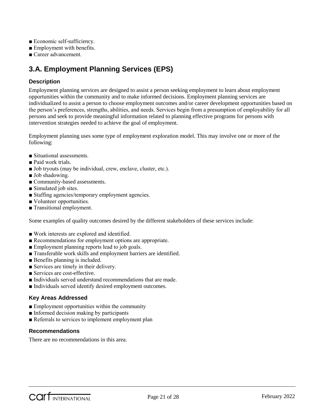- Economic self-sufficiency.
- Employment with benefits.
- Career advancement.

## **3.A. Employment Planning Services (EPS)**

#### **Description**

Employment planning services are designed to assist a person seeking employment to learn about employment opportunities within the community and to make informed decisions. Employment planning services are individualized to assist a person to choose employment outcomes and/or career development opportunities based on the person's preferences, strengths, abilities, and needs. Services begin from a presumption of employability for all persons and seek to provide meaningful information related to planning effective programs for persons with intervention strategies needed to achieve the goal of employment.

Employment planning uses some type of employment exploration model. This may involve one or more of the following:

- Situational assessments.
- Paid work trials.
- Job tryouts (may be individual, crew, enclave, cluster, etc.).
- Job shadowing.
- Community-based assessments.
- Simulated job sites.
- Staffing agencies/temporary employment agencies.
- Volunteer opportunities.
- Transitional employment.

Some examples of quality outcomes desired by the different stakeholders of these services include:

- Work interests are explored and identified.
- Recommendations for employment options are appropriate.
- Employment planning reports lead to job goals.
- Transferable work skills and employment barriers are identified.
- Benefits planning is included.
- Services are timely in their delivery.
- Services are cost-effective.
- Individuals served understand recommendations that are made.
- Individuals served identify desired employment outcomes.

#### **Key Areas Addressed**

- Employment opportunities within the community
- Informed decision making by participants
- Referrals to services to implement employment plan

#### **Recommendations**

There are no recommendations in this area.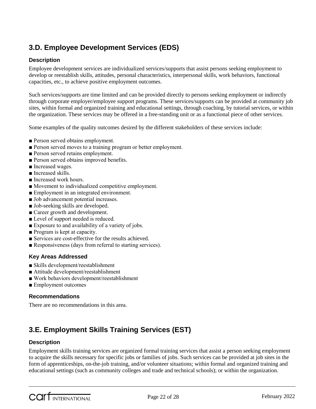## **3.D. Employee Development Services (EDS)**

#### **Description**

Employee development services are individualized services/supports that assist persons seeking employment to develop or reestablish skills, attitudes, personal characteristics, interpersonal skills, work behaviors, functional capacities, etc., to achieve positive employment outcomes.

Such services/supports are time limited and can be provided directly to persons seeking employment or indirectly through corporate employer/employee support programs. These services/supports can be provided at community job sites, within formal and organized training and educational settings, through coaching, by tutorial services, or within the organization. These services may be offered in a free-standing unit or as a functional piece of other services.

Some examples of the quality outcomes desired by the different stakeholders of these services include:

- Person served obtains employment.
- Person served moves to a training program or better employment.
- Person served retains employment.
- Person served obtains improved benefits.
- Increased wages.
- Increased skills.
- Increased work hours.
- Movement to individualized competitive employment.
- Employment in an integrated environment.
- Job advancement potential increases.
- Job-seeking skills are developed.
- Career growth and development.
- Level of support needed is reduced.
- Exposure to and availability of a variety of jobs.
- Program is kept at capacity.
- Services are cost-effective for the results achieved.
- Responsiveness (days from referral to starting services).

#### **Key Areas Addressed**

- Skills development/reestablishment
- Attitude development/reestablishment
- Work behaviors development/reestablishment
- Employment outcomes

#### **Recommendations**

There are no recommendations in this area.

## **3.E. Employment Skills Training Services (EST)**

#### **Description**

Employment skills training services are organized formal training services that assist a person seeking employment to acquire the skills necessary for specific jobs or families of jobs. Such services can be provided at job sites in the form of apprenticeships, on-the-job training, and/or volunteer situations; within formal and organized training and educational settings (such as community colleges and trade and technical schools); or within the organization.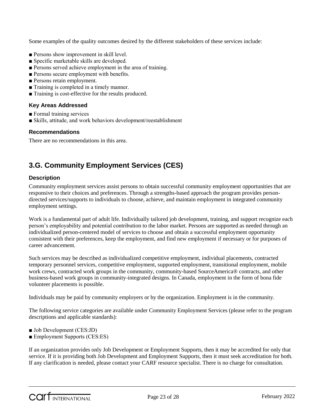Some examples of the quality outcomes desired by the different stakeholders of these services include:

- Persons show improvement in skill level.
- Specific marketable skills are developed.
- Persons served achieve employment in the area of training.
- Persons secure employment with benefits.
- Persons retain employment.
- Training is completed in a timely manner.
- Training is cost-effective for the results produced.

#### **Key Areas Addressed**

- Formal training services
- Skills, attitude, and work behaviors development/reestablishment

#### **Recommendations**

There are no recommendations in this area.

## **3.G. Community Employment Services (CES)**

#### **Description**

Community employment services assist persons to obtain successful community employment opportunities that are responsive to their choices and preferences. Through a strengths-based approach the program provides persondirected services/supports to individuals to choose, achieve, and maintain employment in integrated community employment settings.

Work is a fundamental part of adult life. Individually tailored job development, training, and support recognize each person's employability and potential contribution to the labor market. Persons are supported as needed through an individualized person-centered model of services to choose and obtain a successful employment opportunity consistent with their preferences, keep the employment, and find new employment if necessary or for purposes of career advancement.

Such services may be described as individualized competitive employment, individual placements, contracted temporary personnel services, competitive employment, supported employment, transitional employment, mobile work crews, contracted work groups in the community, community-based SourceAmerica® contracts, and other business-based work groups in community-integrated designs. In Canada, employment in the form of bona fide volunteer placements is possible.

Individuals may be paid by community employers or by the organization. Employment is in the community.

The following service categories are available under Community Employment Services (please refer to the program descriptions and applicable standards):

- Job Development (CES:JD)
- Employment Supports (CES:ES)

If an organization provides only Job Development or Employment Supports, then it may be accredited for only that service. If it is providing both Job Development and Employment Supports, then it must seek accreditation for both. If any clarification is needed, please contact your CARF resource specialist. There is no charge for consultation.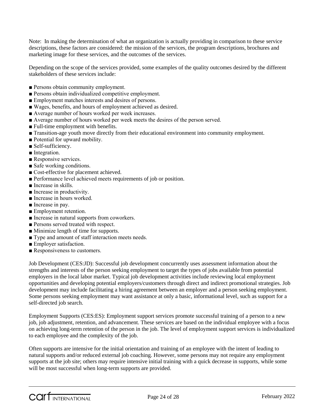Note: In making the determination of what an organization is actually providing in comparison to these service descriptions, these factors are considered: the mission of the services, the program descriptions, brochures and marketing image for these services, and the outcomes of the services.

Depending on the scope of the services provided, some examples of the quality outcomes desired by the different stakeholders of these services include:

- Persons obtain community employment.
- Persons obtain individualized competitive employment.
- Employment matches interests and desires of persons.
- Wages, benefits, and hours of employment achieved as desired.
- Average number of hours worked per week increases.
- Average number of hours worked per week meets the desires of the person served.
- Full-time employment with benefits.
- Transition-age youth move directly from their educational environment into community employment.
- Potential for upward mobility.
- Self-sufficiency.
- Integration.
- Responsive services.
- Safe working conditions.
- Cost-effective for placement achieved.
- Performance level achieved meets requirements of job or position.
- Increase in skills.
- Increase in productivity.
- Increase in hours worked.
- Increase in pay.
- Employment retention.
- Increase in natural supports from coworkers.
- Persons served treated with respect.
- Minimize length of time for supports.
- Type and amount of staff interaction meets needs.
- Employer satisfaction.
- Responsiveness to customers.

Job Development (CES:JD): Successful job development concurrently uses assessment information about the strengths and interests of the person seeking employment to target the types of jobs available from potential employers in the local labor market. Typical job development activities include reviewing local employment opportunities and developing potential employers/customers through direct and indirect promotional strategies. Job development may include facilitating a hiring agreement between an employer and a person seeking employment. Some persons seeking employment may want assistance at only a basic, informational level, such as support for a self-directed job search.

Employment Supports (CES:ES): Employment support services promote successful training of a person to a new job, job adjustment, retention, and advancement. These services are based on the individual employee with a focus on achieving long-term retention of the person in the job. The level of employment support services is individualized to each employee and the complexity of the job.

Often supports are intensive for the initial orientation and training of an employee with the intent of leading to natural supports and/or reduced external job coaching. However, some persons may not require any employment supports at the job site; others may require intensive initial training with a quick decrease in supports, while some will be most successful when long-term supports are provided.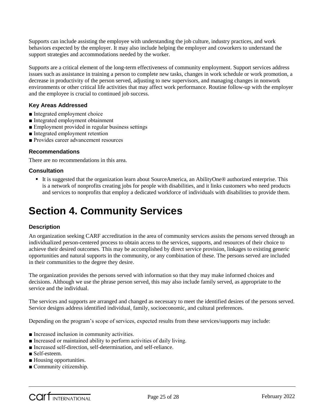Supports can include assisting the employee with understanding the job culture, industry practices, and work behaviors expected by the employer. It may also include helping the employer and coworkers to understand the support strategies and accommodations needed by the worker.

Supports are a critical element of the long-term effectiveness of community employment. Support services address issues such as assistance in training a person to complete new tasks, changes in work schedule or work promotion, a decrease in productivity of the person served, adjusting to new supervisors, and managing changes in nonwork environments or other critical life activities that may affect work performance. Routine follow-up with the employer and the employee is crucial to continued job success.

#### **Key Areas Addressed**

- Integrated employment choice
- Integrated employment obtainment
- Employment provided in regular business settings
- Integrated employment retention
- Provides career advancement resources

#### **Recommendations**

There are no recommendations in this area.

#### **Consultation**

 It is suggested that the organization learn about SourceAmerica, an AbilityOne® authorized enterprise. This is a network of nonprofits creating jobs for people with disabilities, and it links customers who need products and services to nonprofits that employ a dedicated workforce of individuals with disabilities to provide them.

## **Section 4. Community Services**

#### **Description**

An organization seeking CARF accreditation in the area of community services assists the persons served through an individualized person-centered process to obtain access to the services, supports, and resources of their choice to achieve their desired outcomes. This may be accomplished by direct service provision, linkages to existing generic opportunities and natural supports in the community, or any combination of these. The persons served are included in their communities to the degree they desire.

The organization provides the persons served with information so that they may make informed choices and decisions. Although we use the phrase person served, this may also include family served, as appropriate to the service and the individual.

The services and supports are arranged and changed as necessary to meet the identified desires of the persons served. Service designs address identified individual, family, socioeconomic, and cultural preferences.

Depending on the program's scope of services, expected results from these services/supports may include:

- Increased inclusion in community activities.
- Increased or maintained ability to perform activities of daily living.
- Increased self-direction, self-determination, and self-reliance.
- Self-esteem.
- Housing opportunities.
- Community citizenship.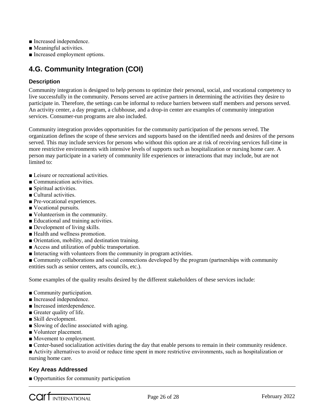- Increased independence.
- Meaningful activities.
- Increased employment options.

## **4.G. Community Integration (COI)**

#### **Description**

Community integration is designed to help persons to optimize their personal, social, and vocational competency to live successfully in the community. Persons served are active partners in determining the activities they desire to participate in. Therefore, the settings can be informal to reduce barriers between staff members and persons served. An activity center, a day program, a clubhouse, and a drop-in center are examples of community integration services. Consumer-run programs are also included.

Community integration provides opportunities for the community participation of the persons served. The organization defines the scope of these services and supports based on the identified needs and desires of the persons served. This may include services for persons who without this option are at risk of receiving services full-time in more restrictive environments with intensive levels of supports such as hospitalization or nursing home care. A person may participate in a variety of community life experiences or interactions that may include, but are not limited to:

- Leisure or recreational activities.
- Communication activities.
- Spiritual activities.
- Cultural activities.
- Pre-vocational experiences.
- Vocational pursuits.
- Volunteerism in the community.
- Educational and training activities.
- Development of living skills.
- Health and wellness promotion.
- Orientation, mobility, and destination training.
- Access and utilization of public transportation.
- Interacting with volunteers from the community in program activities.
- Community collaborations and social connections developed by the program (partnerships with community entities such as senior centers, arts councils, etc.).

Some examples of the quality results desired by the different stakeholders of these services include:

- Community participation.
- Increased independence.
- Increased interdependence.
- Greater quality of life.
- Skill development.
- Slowing of decline associated with aging.
- Volunteer placement.
- Movement to employment.
- Center-based socialization activities during the day that enable persons to remain in their community residence.
- Activity alternatives to avoid or reduce time spent in more restrictive environments, such as hospitalization or nursing home care.

#### **Key Areas Addressed**

■ Opportunities for community participation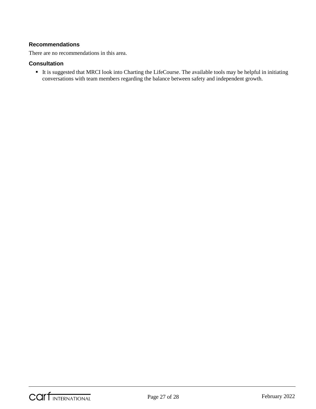#### **Recommendations**

There are no recommendations in this area.

#### **Consultation**

 It is suggested that MRCI look into Charting the LifeCourse. The available tools may be helpful in initiating conversations with team members regarding the balance between safety and independent growth.